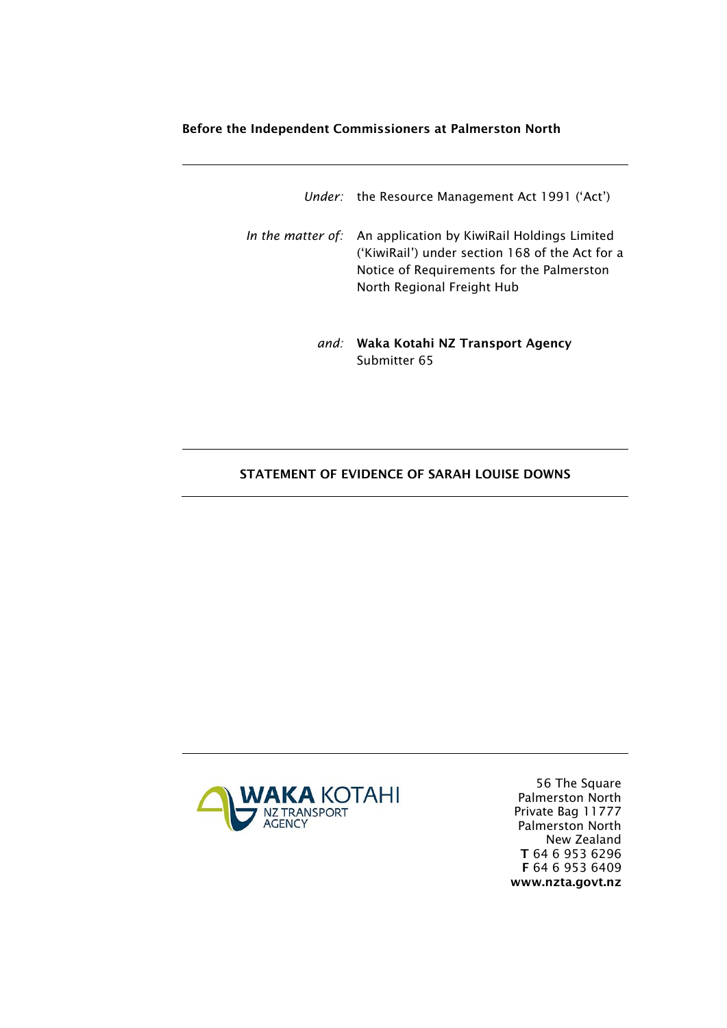### Before the Independent Commissioners at Palmerston North

| Under: the Resource Management Act 1991 ('Act')                                                                                                                                             |
|---------------------------------------------------------------------------------------------------------------------------------------------------------------------------------------------|
| In the matter of: An application by KiwiRail Holdings Limited<br>('KiwiRail') under section 168 of the Act for a<br>Notice of Requirements for the Palmerston<br>North Regional Freight Hub |

*and:* Waka Kotahi NZ Transport Agency Submitter 65

## STATEMENT OF EVIDENCE OF SARAH LOUISE DOWNS



56 The Square Palmerston North Private Bag 11777 Palmerston North New Zealand T 64 6 953 6296 F 64 6 953 6409 www.nzta.govt.nz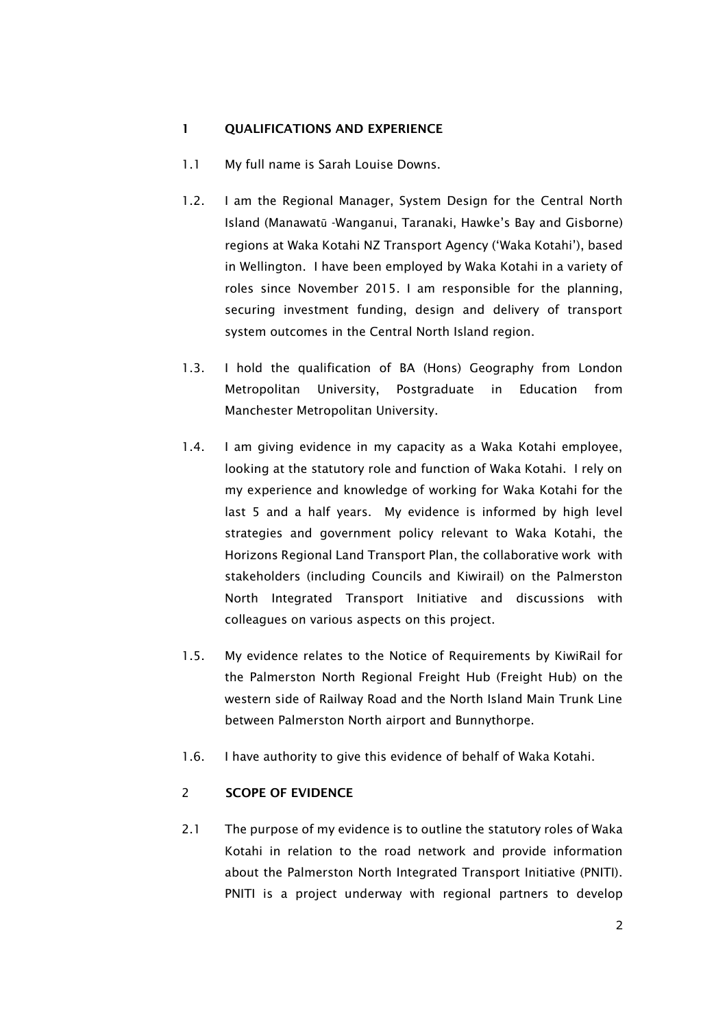#### 1 OUALIFICATIONS AND EXPERIENCE

- 1.1 My full name is Sarah Louise Downs.
- 1.2. I am the Regional Manager, System Design for the Central North Island (Manawatū -Wanganui, Taranaki, Hawke's Bay and Gisborne) regions at Waka Kotahi NZ Transport Agency ('Waka Kotahi'), based in Wellington. I have been employed by Waka Kotahi in a variety of roles since November 2015. I am responsible for the planning, securing investment funding, design and delivery of transport system outcomes in the Central North Island region.
- 1.3. I hold the qualification of BA (Hons) Geography from London Metropolitan University, Postgraduate in Education from Manchester Metropolitan University.
- 1.4. I am giving evidence in my capacity as a Waka Kotahi employee, looking at the statutory role and function of Waka Kotahi. I rely on my experience and knowledge of working for Waka Kotahi for the last 5 and a half years. My evidence is informed by high level strategies and government policy relevant to Waka Kotahi, the Horizons Regional Land Transport Plan, the collaborative work with stakeholders (including Councils and Kiwirail) on the Palmerston North Integrated Transport Initiative and discussions with colleagues on various aspects on this project.
- 1.5. My evidence relates to the Notice of Requirements by KiwiRail for the Palmerston North Regional Freight Hub (Freight Hub) on the western side of Railway Road and the North Island Main Trunk Line between Palmerston North airport and Bunnythorpe.
- 1.6. I have authority to give this evidence of behalf of Waka Kotahi.

### 2 SCOPE OF EVIDENCE

2.1 The purpose of my evidence is to outline the statutory roles of Waka Kotahi in relation to the road network and provide information about the Palmerston North Integrated Transport Initiative (PNITI). PNITI is a project underway with regional partners to develop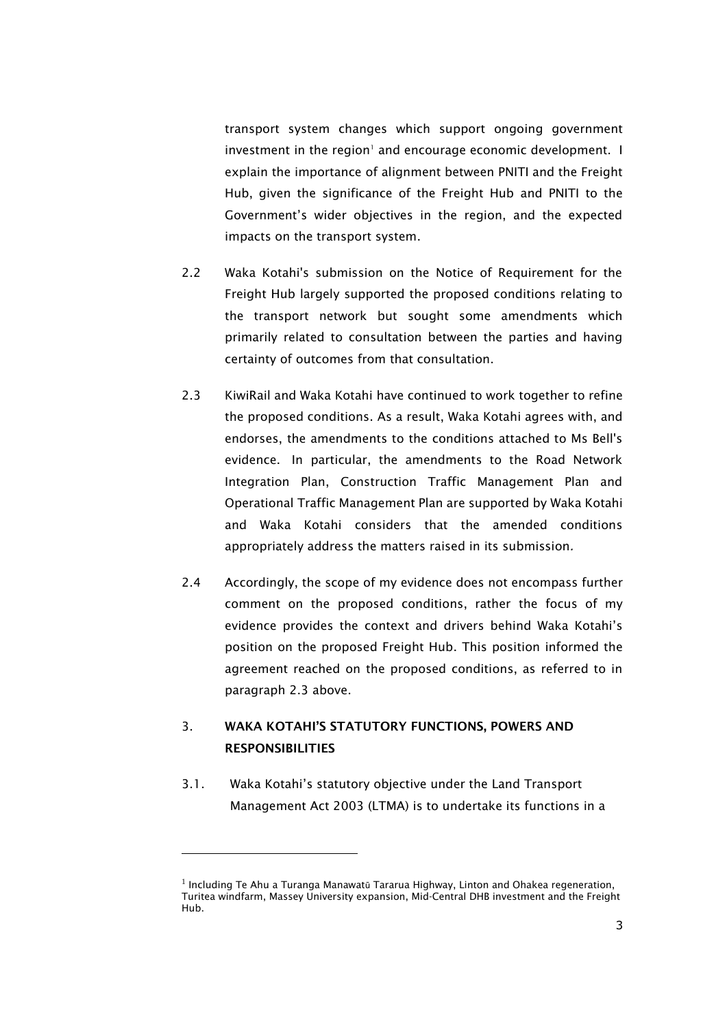transport system changes which support ongoing government  $inv$ estment in the region<sup>1</sup> and encourage economic development.  $\blacksquare$ explain the importance of alignment between PNITI and the Freight Hub, given the significance of the Freight Hub and PNITI to the Government's wider objectives in the region, and the expected impacts on the transport system.

- 2.2 Waka Kotahi's submission on the Notice of Requirement for the Freight Hub largely supported the proposed conditions relating to the transport network but sought some amendments which primarily related to consultation between the parties and having certainty of outcomes from that consultation.
- 2.3 KiwiRail and Waka Kotahi have continued to work together to refine the proposed conditions. As a result, Waka Kotahi agrees with, and endorses, the amendments to the conditions attached to Ms Bell's evidence. In particular, the amendments to the Road Network Integration Plan, Construction Traffic Management Plan and Operational Traffic Management Plan are supported by Waka Kotahi and Waka Kotahi considers that the amended conditions appropriately address the matters raised in its submission*.*
- 2.4 Accordingly, the scope of my evidence does not encompass further comment on the proposed conditions, rather the focus of my evidence provides the context and drivers behind Waka Kotahi's position on the proposed Freight Hub. This position informed the agreement reached on the proposed conditions, as referred to in paragraph 2.3 above.

## 3. WAKA KOTAHI'S STATUTORY FUNCTIONS, POWERS AND **RESPONSIBILITIES**

3.1. Waka Kotahi's statutory objective under the Land Transport Management Act 2003 (LTMA) is to undertake its functions in a

 $^1$  Including Te Ahu a Turanga Manawatū Tararua Highway, Linton and Ohakea regeneration, Turitea windfarm, Massey University expansion, Mid-Central DHB investment and the Freight Hub.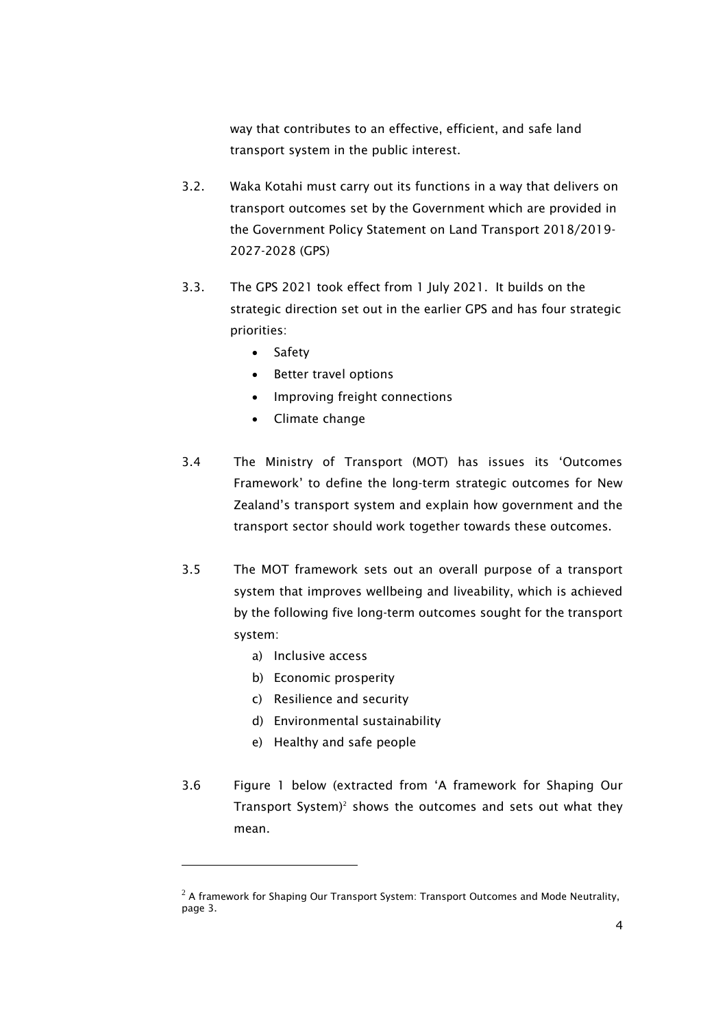way that contributes to an effective, efficient, and safe land transport system in the public interest.

- 3.2. Waka Kotahi must carry out its functions in a way that delivers on transport outcomes set by the Government which are provided in the Government Policy Statement on Land Transport 2018/2019- 2027-2028 (GPS)
- 3.3. The GPS 2021 took effect from 1 July 2021. It builds on the strategic direction set out in the earlier GPS and has four strategic priorities:
	- Safety
	- Better travel options
	- Improving freight connections
	- Climate change
- 3.4 The Ministry of Transport (MOT) has issues its 'Outcomes Framework' to define the long-term strategic outcomes for New Zealand's transport system and explain how government and the transport sector should work together towards these outcomes.
- 3.5 The MOT framework sets out an overall purpose of a transport system that improves wellbeing and liveability, which is achieved by the following five long-term outcomes sought for the transport system:
	- a) Inclusive access
	- b) Economic prosperity
	- c) Resilience and security
	- d) Environmental sustainability
	- e) Healthy and safe people
- 3.6 Figure 1 below (extracted from 'A framework for Shaping Our Transport System)<sup>2</sup> shows the outcomes and sets out what they mean.

 $2$  A framework for Shaping Our Transport System: Transport Outcomes and Mode Neutrality, page 3.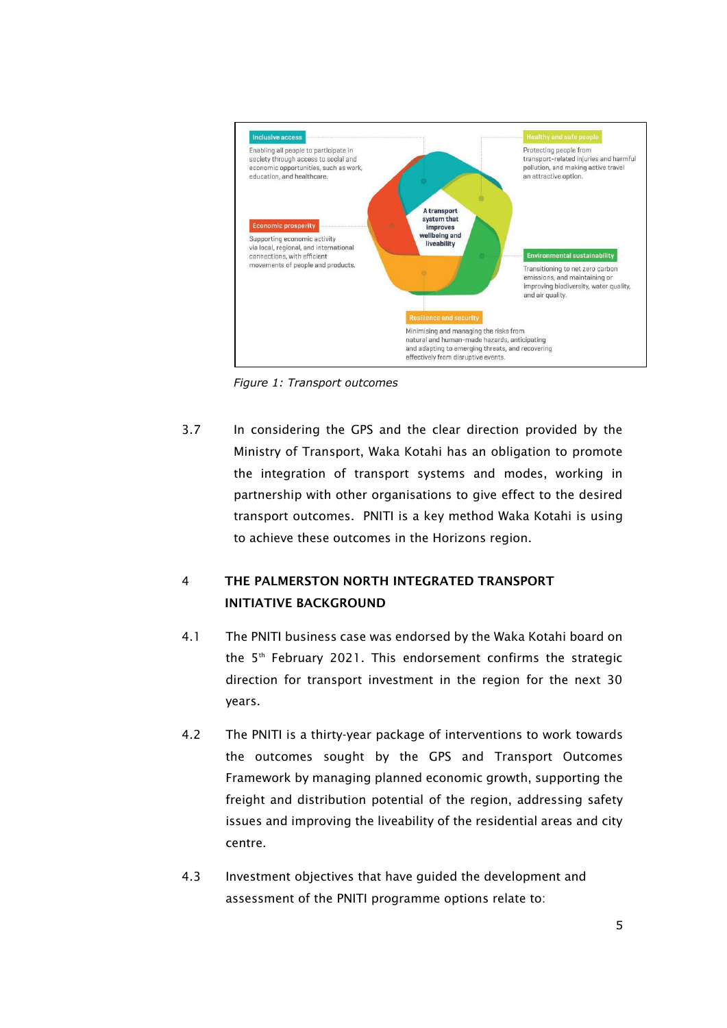

*Figure 1: Transport outcomes*

3.7 In considering the GPS and the clear direction provided by the Ministry of Transport, Waka Kotahi has an obligation to promote the integration of transport systems and modes, working in partnership with other organisations to give effect to the desired transport outcomes. PNITI is a key method Waka Kotahi is using to achieve these outcomes in the Horizons region.

# 4 THE PALMERSTON NORTH INTEGRATED TRANSPORT INITIATIVE BACKGROUND

- 4.1 The PNITI business case was endorsed by the Waka Kotahi board on the 5<sup>th</sup> February 2021. This endorsement confirms the strategic direction for transport investment in the region for the next 30 years.
- 4.2 The PNITI is a thirty-year package of interventions to work towards the outcomes sought by the GPS and Transport Outcomes Framework by managing planned economic growth, supporting the freight and distribution potential of the region, addressing safety issues and improving the liveability of the residential areas and city centre.
- 4.3 Investment objectives that have guided the development and assessment of the PNITI programme options relate to: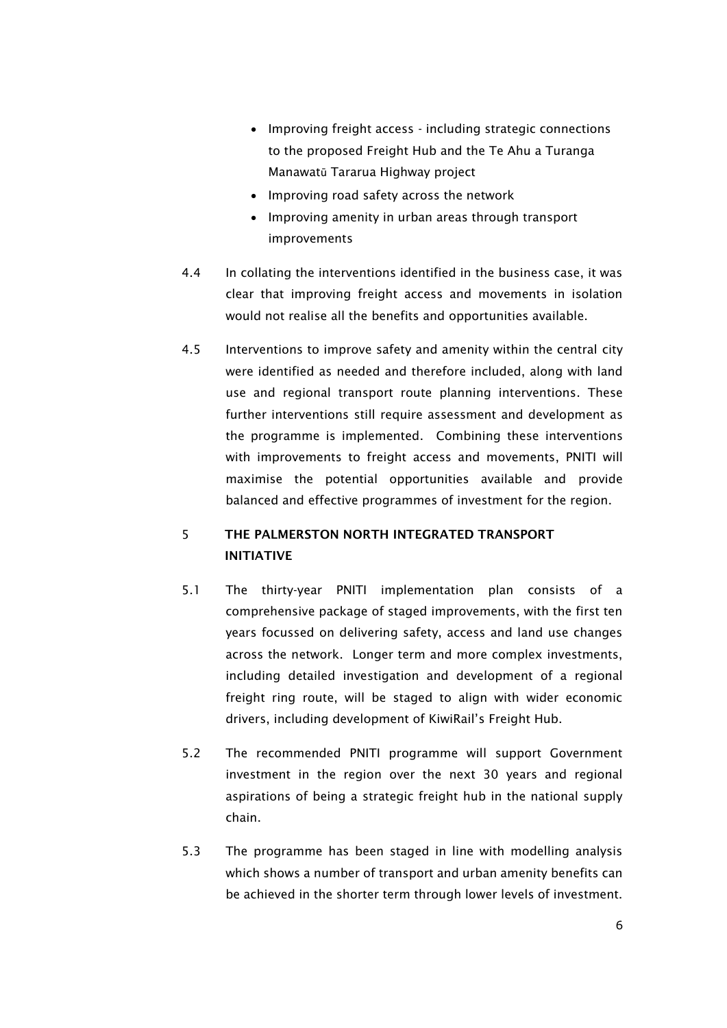- Improving freight access including strategic connections to the proposed Freight Hub and the Te Ahu a Turanga Manawatū Tararua Highway project
- Improving road safety across the network
- Improving amenity in urban areas through transport improvements
- 4.4 In collating the interventions identified in the business case, it was clear that improving freight access and movements in isolation would not realise all the benefits and opportunities available.
- 4.5 Interventions to improve safety and amenity within the central city were identified as needed and therefore included, along with land use and regional transport route planning interventions. These further interventions still require assessment and development as the programme is implemented. Combining these interventions with improvements to freight access and movements, PNITI will maximise the potential opportunities available and provide balanced and effective programmes of investment for the region.

## 5 THE PALMERSTON NORTH INTEGRATED TRANSPORT INITIATIVE

- 5.1 The thirty-year PNITI implementation plan consists of a comprehensive package of staged improvements, with the first ten years focussed on delivering safety, access and land use changes across the network. Longer term and more complex investments, including detailed investigation and development of a regional freight ring route, will be staged to align with wider economic drivers, including development of KiwiRail's Freight Hub.
- 5.2 The recommended PNITI programme will support Government investment in the region over the next 30 years and regional aspirations of being a strategic freight hub in the national supply chain.
- 5.3 The programme has been staged in line with modelling analysis which shows a number of transport and urban amenity benefits can be achieved in the shorter term through lower levels of investment.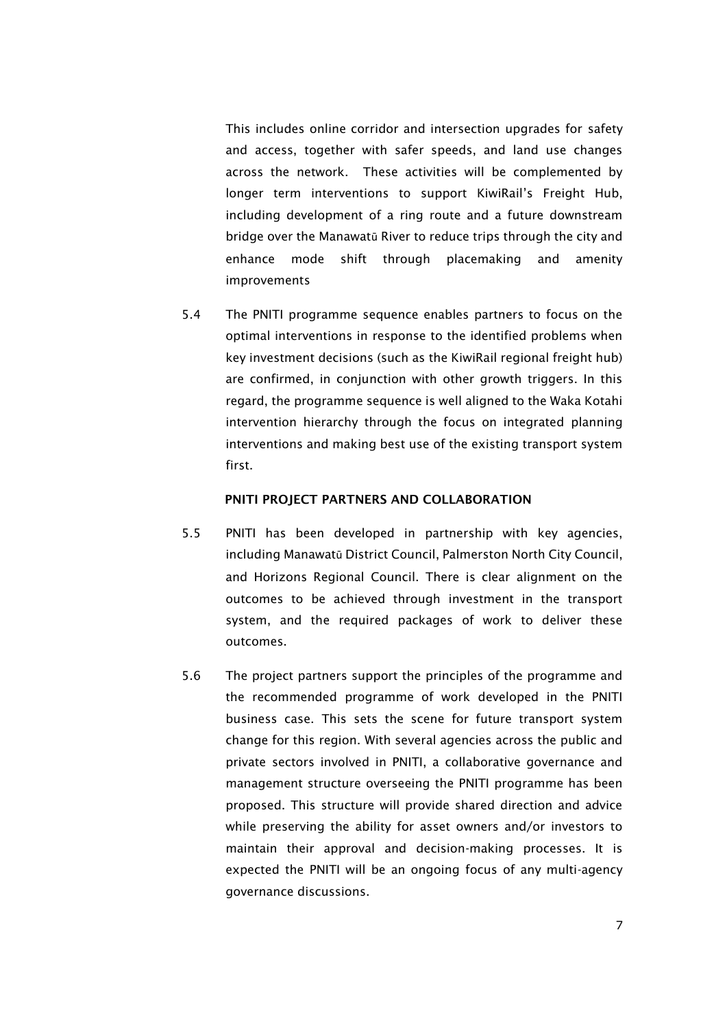This includes online corridor and intersection upgrades for safety and access, together with safer speeds, and land use changes across the network. These activities will be complemented by longer term interventions to support KiwiRail's Freight Hub, including development of a ring route and a future downstream bridge over the Manawatū River to reduce trips through the city and enhance mode shift through placemaking and amenity improvements

5.4 The PNITI programme sequence enables partners to focus on the optimal interventions in response to the identified problems when key investment decisions (such as the KiwiRail regional freight hub) are confirmed, in conjunction with other growth triggers. In this regard, the programme sequence is well aligned to the Waka Kotahi intervention hierarchy through the focus on integrated planning interventions and making best use of the existing transport system first.

#### PNITI PROJECT PARTNERS AND COLLABORATION

- 5.5 PNITI has been developed in partnership with key agencies, including Manawatū District Council, Palmerston North City Council, and Horizons Regional Council. There is clear alignment on the outcomes to be achieved through investment in the transport system, and the required packages of work to deliver these outcomes.
- 5.6 The project partners support the principles of the programme and the recommended programme of work developed in the PNITI business case. This sets the scene for future transport system change for this region. With several agencies across the public and private sectors involved in PNITI, a collaborative governance and management structure overseeing the PNITI programme has been proposed. This structure will provide shared direction and advice while preserving the ability for asset owners and/or investors to maintain their approval and decision-making processes. It is expected the PNITI will be an ongoing focus of any multi-agency governance discussions.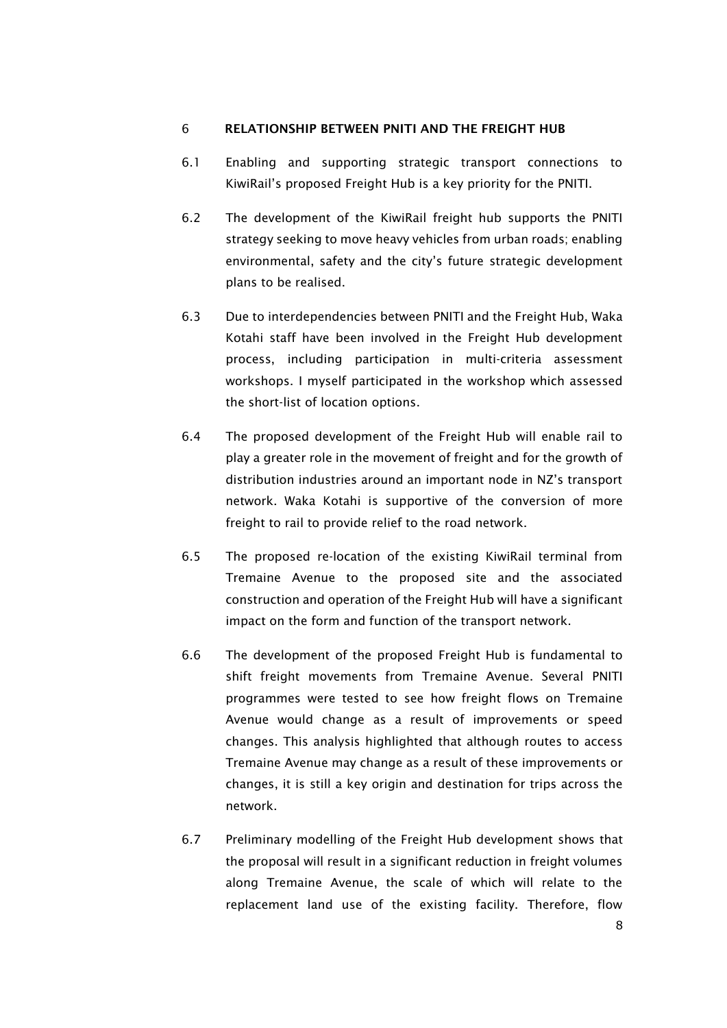### 6 RELATIONSHIP BETWEEN PNITI AND THE FREIGHT HUB

- 6.1 Enabling and supporting strategic transport connections to KiwiRail's proposed Freight Hub is a key priority for the PNITI.
- 6.2 The development of the KiwiRail freight hub supports the PNITI strategy seeking to move heavy vehicles from urban roads; enabling environmental, safety and the city's future strategic development plans to be realised.
- 6.3 Due to interdependencies between PNITI and the Freight Hub, Waka Kotahi staff have been involved in the Freight Hub development process, including participation in multi-criteria assessment workshops. I myself participated in the workshop which assessed the short-list of location options.
- 6.4 The proposed development of the Freight Hub will enable rail to play a greater role in the movement of freight and for the growth of distribution industries around an important node in NZ's transport network. Waka Kotahi is supportive of the conversion of more freight to rail to provide relief to the road network.
- 6.5 The proposed re-location of the existing KiwiRail terminal from Tremaine Avenue to the proposed site and the associated construction and operation of the Freight Hub will have a significant impact on the form and function of the transport network.
- 6.6 The development of the proposed Freight Hub is fundamental to shift freight movements from Tremaine Avenue. Several PNITI programmes were tested to see how freight flows on Tremaine Avenue would change as a result of improvements or speed changes. This analysis highlighted that although routes to access Tremaine Avenue may change as a result of these improvements or changes, it is still a key origin and destination for trips across the network.
- 6.7 Preliminary modelling of the Freight Hub development shows that the proposal will result in a significant reduction in freight volumes along Tremaine Avenue, the scale of which will relate to the replacement land use of the existing facility. Therefore, flow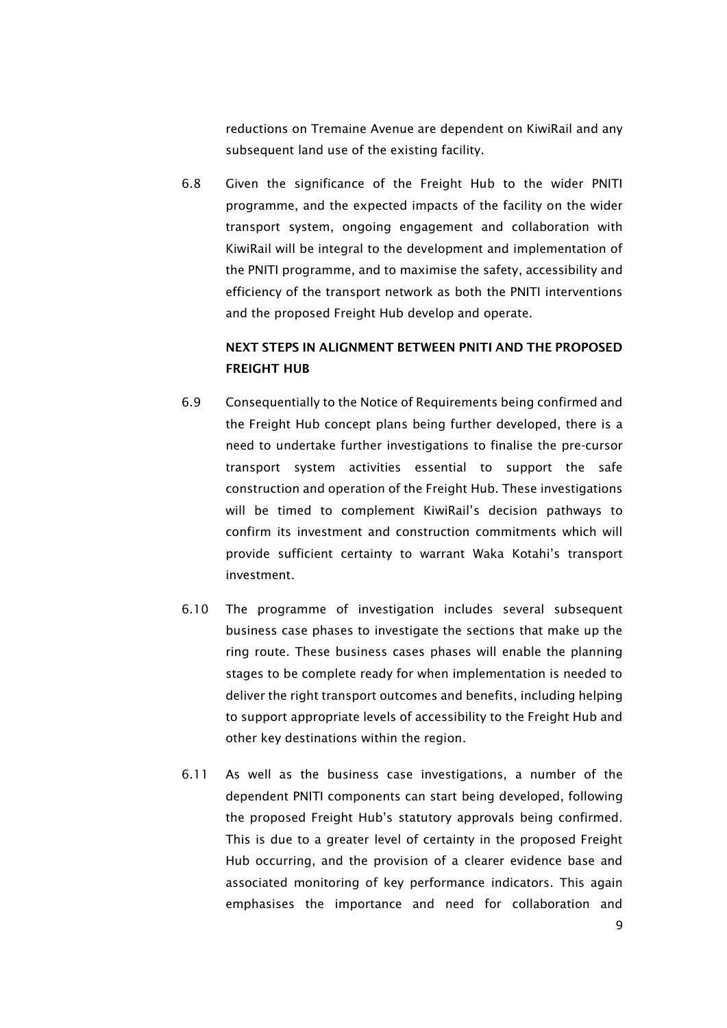reductions on Tremaine Avenue are dependent on KiwiRail and any subsequent land use of the existing facility.

6.8 Given the significance of the Freight Hub to the wider PNITI programme, and the expected impacts of the facility on the wider transport system, ongoing engagement and collaboration with KiwiRail will be integral to the development and implementation of the PNITI programme, and to maximise the safety, accessibility and efficiency of the transport network as both the PNITI interventions and the proposed Freight Hub develop and operate.

# NEXT STEPS IN ALIGNMENT BETWEEN PNITI AND THE PROPOSED FREIGHT HUB

- 6.9 Consequentially to the Notice of Requirements being confirmed and the Freight Hub concept plans being further developed, there is a need to undertake further investigations to finalise the pre-cursor transport system activities essential to support the safe construction and operation of the Freight Hub. These investigations will be timed to complement KiwiRail's decision pathways to confirm its investment and construction commitments which will provide sufficient certainty to warrant Waka Kotahi's transport investment.
- 6.10 The programme of investigation includes several subsequent business case phases to investigate the sections that make up the ring route. These business cases phases will enable the planning stages to be complete ready for when implementation is needed to deliver the right transport outcomes and benefits, including helping to support appropriate levels of accessibility to the Freight Hub and other key destinations within the region.
- 6.11 As well as the business case investigations, a number of the dependent PNITI components can start being developed, following the proposed Freight Hub's statutory approvals being confirmed. This is due to a greater level of certainty in the proposed Freight Hub occurring, and the provision of a clearer evidence base and associated monitoring of key performance indicators. This again emphasises the importance and need for collaboration and